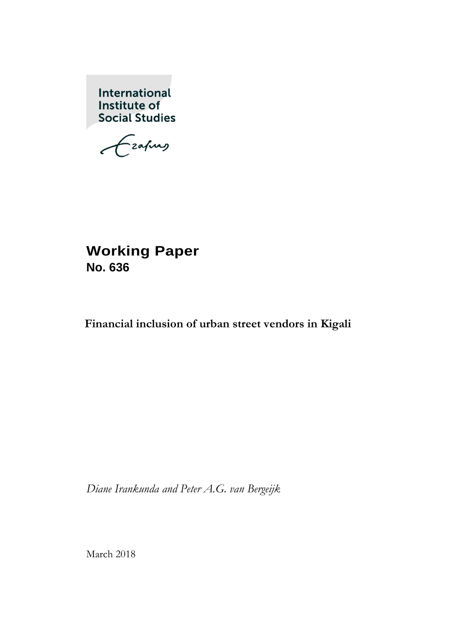International Institute of **Social Studies** 

Ezafung

# **Working Paper No. 636**

**Financial inclusion of urban street vendors in Kigali**

*Diane Irankunda and Peter A.G. van Bergeijk*

March 2018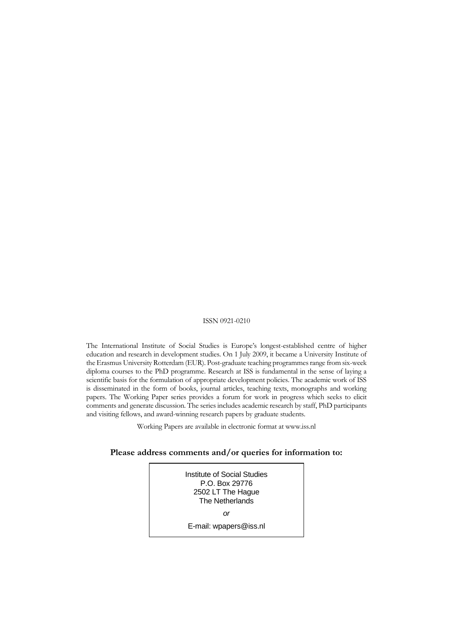#### ISSN 0921-0210

The International Institute of Social Studies is Europe's longest-established centre of higher education and research in development studies. On 1 July 2009, it became a University Institute of the Erasmus University Rotterdam (EUR). Post-graduate teaching programmes range from six-week diploma courses to the PhD programme. Research at ISS is fundamental in the sense of laying a scientific basis for the formulation of appropriate development policies. The academic work of ISS is disseminated in the form of books, journal articles, teaching texts, monographs and working papers. The Working Paper series provides a forum for work in progress which seeks to elicit comments and generate discussion. The series includes academic research by staff, PhD participants and visiting fellows, and award-winning research papers by graduate students.

Working Papers are available in electronic format at www.iss.nl

#### **Please address comments and/or queries for information to:**

Institute of Social Studies P.O. Box 29776 2502 LT The Hague The Netherlands *or*  E-mail: wpapers@iss.nl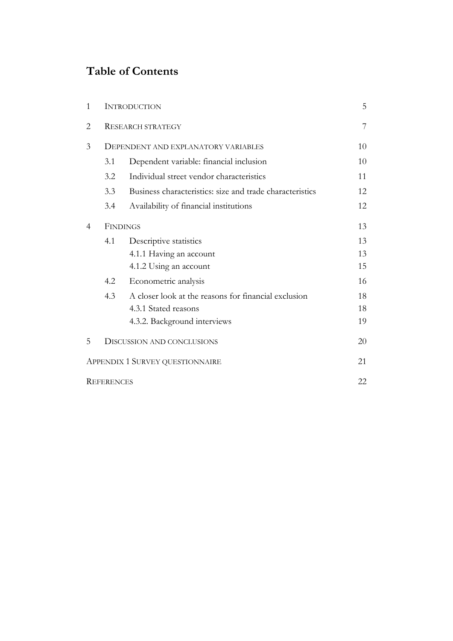# **Table of Contents**

| $\mathbf{1}$   | <b>INTRODUCTION</b>                 |                                                          |    |  |  |  |
|----------------|-------------------------------------|----------------------------------------------------------|----|--|--|--|
| $\overline{2}$ | <b>RESEARCH STRATEGY</b>            |                                                          |    |  |  |  |
| 3              | DEPENDENT AND EXPLANATORY VARIABLES |                                                          |    |  |  |  |
|                | 3.1                                 | Dependent variable: financial inclusion                  | 10 |  |  |  |
|                | 3.2                                 | Individual street vendor characteristics                 | 11 |  |  |  |
|                | 3.3                                 | Business characteristics: size and trade characteristics | 12 |  |  |  |
|                | 3.4                                 | Availability of financial institutions                   | 12 |  |  |  |
| $\overline{4}$ | <b>FINDINGS</b>                     |                                                          |    |  |  |  |
|                | 4.1                                 | Descriptive statistics                                   | 13 |  |  |  |
|                |                                     | 4.1.1 Having an account                                  | 13 |  |  |  |
|                |                                     | 4.1.2 Using an account                                   | 15 |  |  |  |
|                | 4.2                                 | Econometric analysis                                     | 16 |  |  |  |
|                | 4.3                                 | A closer look at the reasons for financial exclusion     | 18 |  |  |  |
|                |                                     | 4.3.1 Stated reasons                                     | 18 |  |  |  |
|                |                                     | 4.3.2. Background interviews                             | 19 |  |  |  |
| 5              | <b>DISCUSSION AND CONCLUSIONS</b>   |                                                          |    |  |  |  |
|                |                                     | <b>APPENDIX 1 SURVEY QUESTIONNAIRE</b>                   | 21 |  |  |  |
|                | <b>REFERENCES</b>                   |                                                          | 22 |  |  |  |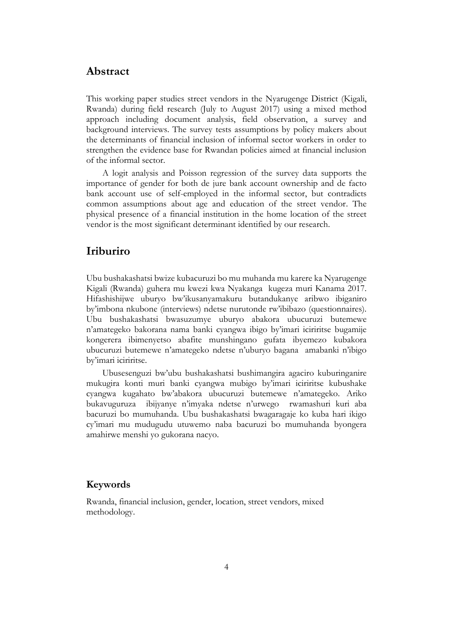## **Abstract**

This working paper studies street vendors in the Nyarugenge District (Kigali, Rwanda) during field research (July to August 2017) using a mixed method approach including document analysis, field observation, a survey and background interviews. The survey tests assumptions by policy makers about the determinants of financial inclusion of informal sector workers in order to strengthen the evidence base for Rwandan policies aimed at financial inclusion of the informal sector.

A logit analysis and Poisson regression of the survey data supports the importance of gender for both de jure bank account ownership and de facto bank account use of self-employed in the informal sector, but contradicts common assumptions about age and education of the street vendor. The physical presence of a financial institution in the home location of the street vendor is the most significant determinant identified by our research.

# **Iriburiro**

Ubu bushakashatsi bwize kubacuruzi bo mu muhanda mu karere ka Nyarugenge Kigali (Rwanda) guhera mu kwezi kwa Nyakanga kugeza muri Kanama 2017. Hifashishijwe uburyo bw'ikusanyamakuru butandukanye aribwo ibiganiro by'imbona nkubone (interviews) ndetse nurutonde rw'ibibazo (questionnaires). Ubu bushakashatsi bwasuzumye uburyo abakora ubucuruzi butemewe n'amategeko bakorana nama banki cyangwa ibigo by'imari iciriritse bugamije kongerera ibimenyetso abafite munshingano gufata ibyemezo kubakora ubucuruzi butemewe n'amategeko ndetse n'uburyo bagana amabanki n'ibigo by'imari iciriritse.

Ubusesenguzi bw'ubu bushakashatsi bushimangira agaciro kuburinganire mukugira konti muri banki cyangwa mubigo by'imari iciriritse kubushake cyangwa kugahato bw'abakora ubucuruzi butemewe n'amategeko. Ariko bukavuguruza ibijyanye n'imyaka ndetse n'urwego rwamashuri kuri aba bacuruzi bo mumuhanda. Ubu bushakashatsi bwagaragaje ko kuba hari ikigo cy'imari mu mudugudu utuwemo naba bacuruzi bo mumuhanda byongera amahirwe menshi yo gukorana nacyo.

#### **Keywords**

Rwanda, financial inclusion, gender, location, street vendors, mixed methodology.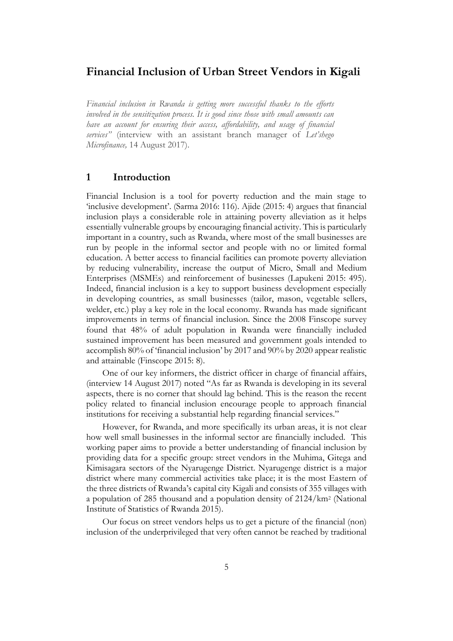# **Financial Inclusion of Urban Street Vendors in Kigali**

*Financial inclusion in Rwanda is getting more successful thanks to the efforts involved in the sensitization process. It is good since those with small amounts can have an account for ensuring their access, affordability, and usage of financial services"* (interview with an assistant branch manager of *Let'shego Microfinance,* 14 August 2017).

#### <span id="page-4-0"></span>**1 Introduction**

Financial Inclusion is a tool for poverty reduction and the main stage to 'inclusive development'. (Sarma 2016: 116). Ajide (2015: 4) argues that financial inclusion plays a considerable role in attaining poverty alleviation as it helps essentially vulnerable groups by encouraging financial activity. This is particularly important in a country, such as Rwanda, where most of the small businesses are run by people in the informal sector and people with no or limited formal education. A better access to financial facilities can promote poverty alleviation by reducing vulnerability, increase the output of Micro, Small and Medium Enterprises (MSMEs) and reinforcement of businesses (Lapukeni 2015: 495). Indeed, financial inclusion is a key to support business development especially in developing countries, as small businesses (tailor, mason, vegetable sellers, welder, etc.) play a key role in the local economy. Rwanda has made significant improvements in terms of financial inclusion. Since the 2008 Finscope survey found that 48% of adult population in Rwanda were financially included sustained improvement has been measured and government goals intended to accomplish 80% of 'financial inclusion' by 2017 and 90% by 2020 appear realistic and attainable (Finscope 2015: 8).

One of our key informers, the district officer in charge of financial affairs, (interview 14 August 2017) noted "As far as Rwanda is developing in its several aspects, there is no corner that should lag behind. This is the reason the recent policy related to financial inclusion encourage people to approach financial institutions for receiving a substantial help regarding financial services."

However, for Rwanda, and more specifically its urban areas, it is not clear how well small businesses in the informal sector are financially included. This working paper aims to provide a better understanding of financial inclusion by providing data for a specific group: street vendors in the Muhima, Gitega and Kimisagara sectors of the Nyarugenge District. Nyarugenge district is a major district where many commercial activities take place; it is the most Eastern of the three districts of Rwanda's capital city Kigali and consists of 355 villages with a population of 285 thousand and a population density of 2124/km<sup>2</sup> (National Institute of Statistics of Rwanda 2015).

Our focus on street vendors helps us to get a picture of the financial (non) inclusion of the underprivileged that very often cannot be reached by traditional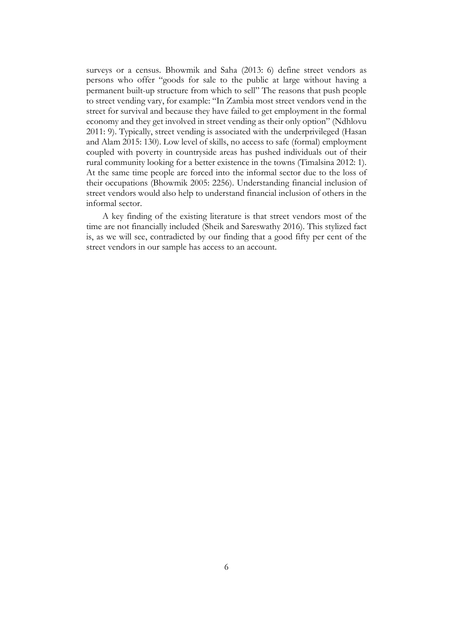surveys or a census. Bhowmik and Saha (2013: 6) define street vendors as persons who offer "goods for sale to the public at large without having a permanent built-up structure from which to sell" The reasons that push people to street vending vary, for example: "In Zambia most street vendors vend in the street for survival and because they have failed to get employment in the formal economy and they get involved in street vending as their only option" (Ndhlovu 2011: 9). Typically, street vending is associated with the underprivileged (Hasan and Alam 2015: 130). Low level of skills, no access to safe (formal) employment coupled with poverty in countryside areas has pushed individuals out of their rural community looking for a better existence in the towns (Timalsina 2012: 1). At the same time people are forced into the informal sector due to the loss of their occupations (Bhowmik 2005: 2256). Understanding financial inclusion of street vendors would also help to understand financial inclusion of others in the informal sector.

<span id="page-5-0"></span>A key finding of the existing literature is that street vendors most of the time are not financially included (Sheik and Sareswathy 2016). This stylized fact is, as we will see, contradicted by our finding that a good fifty per cent of the street vendors in our sample has access to an account.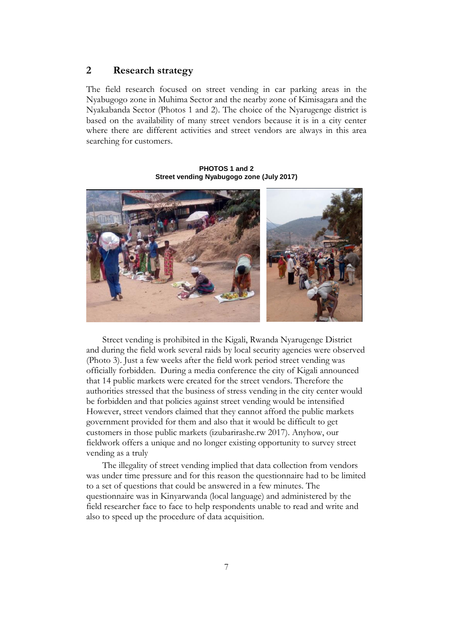## **2 Research strategy**

The field research focused on street vending in car parking areas in the Nyabugogo zone in Muhima Sector and the nearby zone of Kimisagara and the Nyakabanda Sector (Photos 1 and 2). The choice of the Nyarugenge district is based on the availability of many street vendors because it is in a city center where there are different activities and street vendors are always in this area searching for customers.

**PHOTOS 1 and 2 Street vending Nyabugogo zone (July 2017)**



Street vending is prohibited in the Kigali, Rwanda Nyarugenge District and during the field work several raids by local security agencies were observed (Photo 3). Just a few weeks after the field work period street vending was officially forbidden. During a media conference the city of Kigali announced that 14 public markets were created for the street vendors. Therefore the authorities stressed that the business of stress vending in the city center would be forbidden and that policies against street vending would be intensified However, street vendors claimed that they cannot afford the public markets government provided for them and also that it would be difficult to get customers in those public markets (izubarirashe.rw 2017). Anyhow, our fieldwork offers a unique and no longer existing opportunity to survey street vending as a truly

The illegality of street vending implied that data collection from vendors was under time pressure and for this reason the questionnaire had to be limited to a set of questions that could be answered in a few minutes. The questionnaire was in Kinyarwanda (local language) and administered by the field researcher face to face to help respondents unable to read and write and also to speed up the procedure of data acquisition.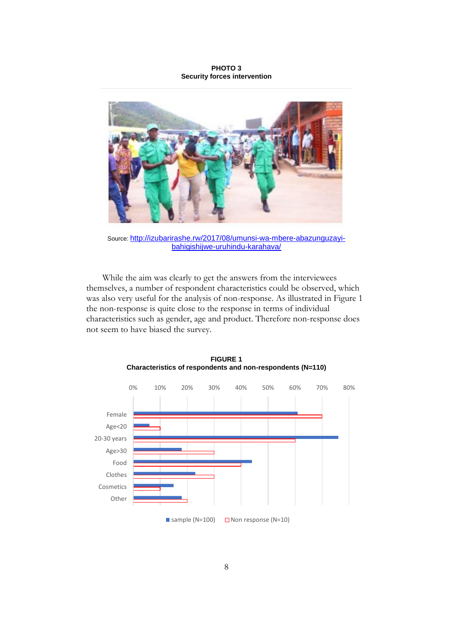#### **PHOTO 3 Security forces intervention**



Source: [http://izubarirashe.rw/2017/08/umunsi-wa-mbere-abazunguzayi](http://izubarirashe.rw/2017/08/umunsi-wa-mbere-abazunguzayi-bahigishijwe-uruhindu-karahava/)[bahigishijwe-uruhindu-karahava/](http://izubarirashe.rw/2017/08/umunsi-wa-mbere-abazunguzayi-bahigishijwe-uruhindu-karahava/)

While the aim was clearly to get the answers from the interviewees themselves, a number of respondent characteristics could be observed, which was also very useful for the analysis of non-response. As illustrated in Figure 1 the non-response is quite close to the response in terms of individual characteristics such as gender, age and product. Therefore non-response does not seem to have biased the survey.



**FIGURE 1 Characteristics of respondents and non-respondents (N=110)**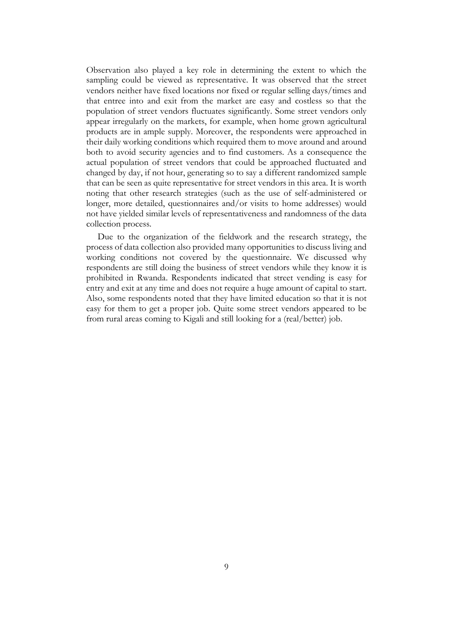Observation also played a key role in determining the extent to which the sampling could be viewed as representative. It was observed that the street vendors neither have fixed locations nor fixed or regular selling days/times and that entree into and exit from the market are easy and costless so that the population of street vendors fluctuates significantly. Some street vendors only appear irregularly on the markets, for example, when home grown agricultural products are in ample supply. Moreover, the respondents were approached in their daily working conditions which required them to move around and around both to avoid security agencies and to find customers. As a consequence the actual population of street vendors that could be approached fluctuated and changed by day, if not hour, generating so to say a different randomized sample that can be seen as quite representative for street vendors in this area. It is worth noting that other research strategies (such as the use of self-administered or longer, more detailed, questionnaires and/or visits to home addresses) would not have yielded similar levels of representativeness and randomness of the data collection process.

<span id="page-8-0"></span> Due to the organization of the fieldwork and the research strategy, the process of data collection also provided many opportunities to discuss living and working conditions not covered by the questionnaire. We discussed why respondents are still doing the business of street vendors while they know it is prohibited in Rwanda. Respondents indicated that street vending is easy for entry and exit at any time and does not require a huge amount of capital to start. Also, some respondents noted that they have limited education so that it is not easy for them to get a proper job. Quite some street vendors appeared to be from rural areas coming to Kigali and still looking for a (real/better) job.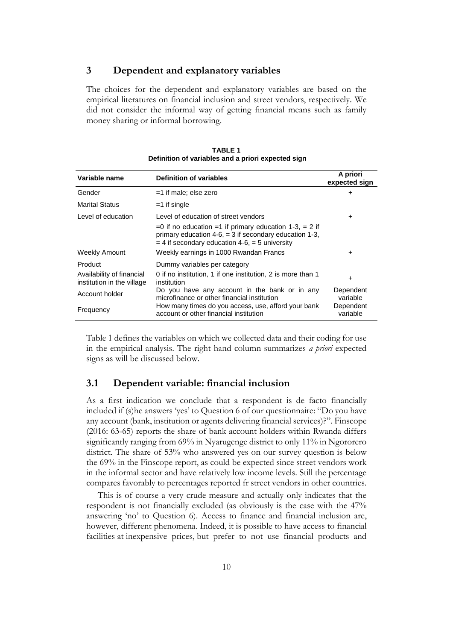### **3 Dependent and explanatory variables**

The choices for the dependent and explanatory variables are based on the empirical literatures on financial inclusion and street vendors, respectively. We did not consider the informal way of getting financial means such as family money sharing or informal borrowing.

| Variable name                                           | <b>Definition of variables</b>                                                                                                                                                 | A priori<br>expected sign |
|---------------------------------------------------------|--------------------------------------------------------------------------------------------------------------------------------------------------------------------------------|---------------------------|
| Gender                                                  | $=1$ if male; else zero                                                                                                                                                        | ٠                         |
| <b>Marital Status</b>                                   | $=1$ if single                                                                                                                                                                 |                           |
| Level of education                                      | Level of education of street vendors                                                                                                                                           | $\ddot{}$                 |
|                                                         | $=0$ if no education $=1$ if primary education 1-3, $= 2$ if<br>primary education 4-6, $=$ 3 if secondary education 1-3,<br>$=$ 4 if secondary education 4-6, $=$ 5 university |                           |
| Weekly Amount                                           | Weekly earnings in 1000 Rwandan Francs                                                                                                                                         | ٠                         |
| Product                                                 | Dummy variables per category                                                                                                                                                   |                           |
| Availability of financial<br>institution in the village | 0 if no institution, 1 if one institution, 2 is more than 1<br>institution                                                                                                     | $\ddot{}$                 |
| Account holder                                          | Do you have any account in the bank or in any<br>microfinance or other financial institution                                                                                   | Dependent<br>variable     |
| Frequency                                               | How many times do you access, use, afford your bank<br>account or other financial institution                                                                                  | Dependent<br>variable     |

**TABLE 1 Definition of variables and a priori expected sign**

Table 1 defines the variables on which we collected data and their coding for use in the empirical analysis. The right hand column summarizes *a priori* expected signs as will be discussed below.

#### <span id="page-9-0"></span>**3.1 Dependent variable: financial inclusion**

As a first indication we conclude that a respondent is de facto financially included if (s)he answers 'yes' to Question 6 of our questionnaire: "Do you have any account (bank, institution or agents delivering financial services)?". Finscope (2016: 63-65) reports the share of bank account holders within Rwanda differs significantly ranging from 69% in Nyarugenge district to only 11% in Ngororero district. The share of 53% who answered yes on our survey question is below the 69% in the Finscope report, as could be expected since street vendors work in the informal sector and have relatively low income levels. Still the percentage compares favorably to percentages reported fr street vendors in other countries.

 This is of course a very crude measure and actually only indicates that the respondent is not financially excluded (as obviously is the case with the 47% answering 'no' to Question 6). Access to finance and financial inclusion are, however, different phenomena. Indeed, it is possible to have access to financial facilities at inexpensive prices, but prefer to not use financial products and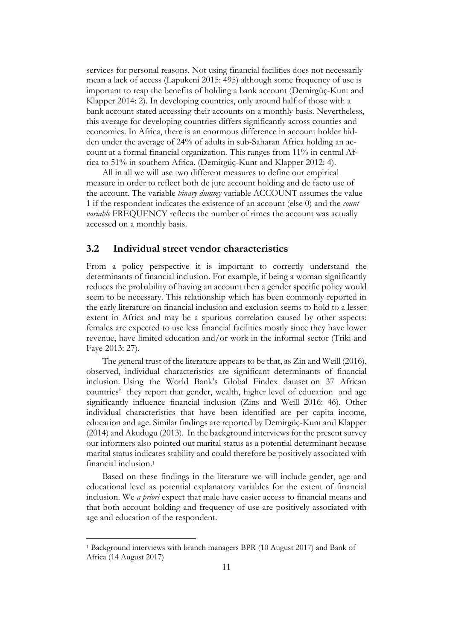services for personal reasons. Not using financial facilities does not necessarily mean a lack of access (Lapukeni 2015: 495) although some frequency of use is important to reap the benefits of holding a bank account (Demirgüç-Kunt and Klapper 2014: 2). In developing countries, only around half of those with a bank account stated accessing their accounts on a monthly basis. Nevertheless, this average for developing countries differs significantly across counties and economies. In Africa, there is an enormous difference in account holder hidden under the average of 24% of adults in sub-Saharan Africa holding an account at a formal financial organization. This ranges from 11% in central Africa to 51% in southern Africa. (Demirgüç-Kunt and Klapper 2012: 4).

All in all we will use two different measures to define our empirical measure in order to reflect both de jure account holding and de facto use of the account. The variable *binary dummy* variable ACCOUNT assumes the value 1 if the respondent indicates the existence of an account (else 0) and the *count variable* FREQUENCY reflects the number of rimes the account was actually accessed on a monthly basis.

### <span id="page-10-0"></span>**3.2 Individual street vendor characteristics**

From a policy perspective it is important to correctly understand the determinants of financial inclusion. For example, if being a woman significantly reduces the probability of having an account then a gender specific policy would seem to be necessary. This relationship which has been commonly reported in the early literature on financial inclusion and exclusion seems to hold to a lesser extent in Africa and may be a spurious correlation caused by other aspects: females are expected to use less financial facilities mostly since they have lower revenue, have limited education and/or work in the informal sector (Triki and Faye 2013: 27).

The general trust of the literature appears to be that, as Zin and Weill (2016), observed, individual characteristics are significant determinants of financial inclusion. Using the World Bank's Global Findex dataset on 37 African countries' they report that gender, wealth, higher level of education and age significantly influence financial inclusion (Zins and Weill 2016: 46). Other individual characteristics that have been identified are per capita income, education and age. Similar findings are reported by Demirgüç-Kunt and Klapper (2014) and Akudugu (2013). In the background interviews for the present survey our informers also pointed out marital status as a potential determinant because marital status indicates stability and could therefore be positively associated with financial inclusion. 1

Based on these findings in the literature we will include gender, age and educational level as potential explanatory variables for the extent of financial inclusion. We *a priori* expect that male have easier access to financial means and that both account holding and frequency of use are positively associated with age and education of the respondent.

 $\overline{a}$ 

<sup>1</sup> Background interviews with branch managers BPR (10 August 2017) and Bank of Africa (14 August 2017)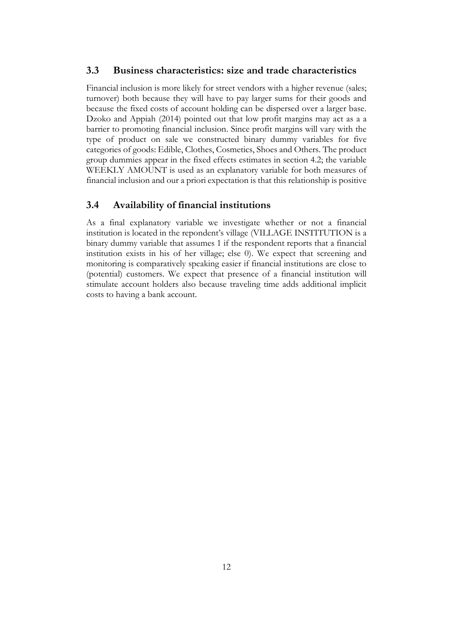#### <span id="page-11-0"></span>**3.3 Business characteristics: size and trade characteristics**

Financial inclusion is more likely for street vendors with a higher revenue (sales; turnover) both because they will have to pay larger sums for their goods and because the fixed costs of account holding can be dispersed over a larger base. Dzoko and Appiah (2014) pointed out that low profit margins may act as a a barrier to promoting financial inclusion. Since profit margins will vary with the type of product on sale we constructed binary dummy variables for five categories of goods: Edible, Clothes, Cosmetics, Shoes and Others. The product group dummies appear in the fixed effects estimates in section 4.2; the variable WEEKLY AMOUNT is used as an explanatory variable for both measures of financial inclusion and our a priori expectation is that this relationship is positive

### <span id="page-11-1"></span>**3.4 Availability of financial institutions**

<span id="page-11-2"></span>As a final explanatory variable we investigate whether or not a financial institution is located in the repondent's village (VILLAGE INSTITUTION is a binary dummy variable that assumes 1 if the respondent reports that a financial institution exists in his of her village; else 0). We expect that screening and monitoring is comparatively speaking easier if financial institutions are close to (potential) customers. We expect that presence of a financial institution will stimulate account holders also because traveling time adds additional implicit costs to having a bank account.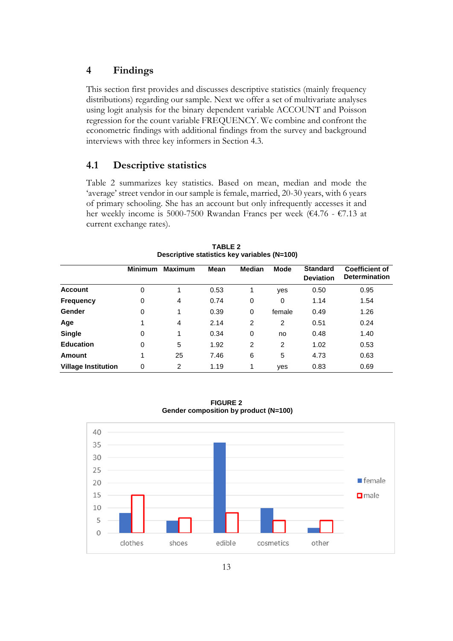### **4 Findings**

This section first provides and discusses descriptive statistics (mainly frequency distributions) regarding our sample. Next we offer a set of multivariate analyses using logit analysis for the binary dependent variable ACCOUNT and Poisson regression for the count variable FREQUENCY. We combine and confront the econometric findings with additional findings from the survey and background interviews with three key informers in Section 4.3.

## <span id="page-12-0"></span>**4.1 Descriptive statistics**

Table 2 summarizes key statistics. Based on mean, median and mode the 'average' street vendor in our sample is female, married, 20-30 years, with 6 years of primary schooling. She has an account but only infrequently accesses it and her weekly income is 5000-7500 Rwandan Francs per week (€4.76 - €7.13 at current exchange rates).

|                            | <b>Minimum</b> | <b>Maximum</b> | <b>Mean</b> | <b>Median</b> | <b>Mode</b> | <b>Standard</b><br><b>Deviation</b> | <b>Coefficient of</b><br><b>Determination</b> |
|----------------------------|----------------|----------------|-------------|---------------|-------------|-------------------------------------|-----------------------------------------------|
| <b>Account</b>             | 0              |                | 0.53        | 1             | yes         | 0.50                                | 0.95                                          |
| <b>Frequency</b>           | 0              | 4              | 0.74        | 0             | 0           | 1.14                                | 1.54                                          |
| Gender                     | 0              | 1              | 0.39        | 0             | female      | 0.49                                | 1.26                                          |
| Age                        | 1              | 4              | 2.14        | 2             | 2           | 0.51                                | 0.24                                          |
| <b>Single</b>              | 0              | 1              | 0.34        | 0             | no          | 0.48                                | 1.40                                          |
| <b>Education</b>           | 0              | 5              | 1.92        | 2             | 2           | 1.02                                | 0.53                                          |
| Amount                     | 1              | 25             | 7.46        | 6             | 5           | 4.73                                | 0.63                                          |
| <b>Village Institution</b> | 0              | 2              | 1.19        | 1             | ves         | 0.83                                | 0.69                                          |

**TABLE 2 Descriptive statistics key variables (N=100)**

<span id="page-12-1"></span>

**FIGURE 2 Gender composition by product (N=100)**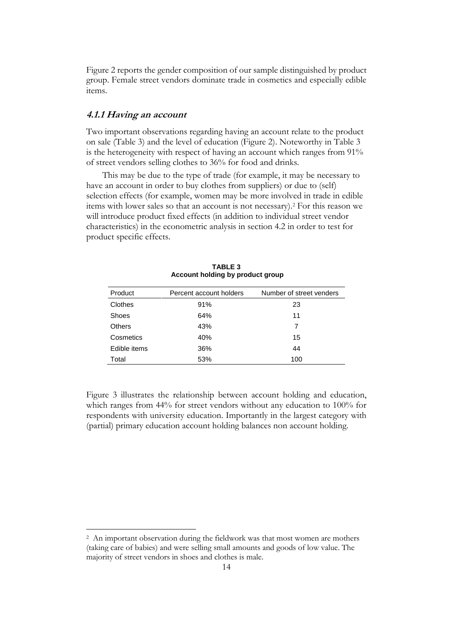Figure 2 reports the gender composition of our sample distinguished by product group. Female street vendors dominate trade in cosmetics and especially edible items.

#### **4.1.1 Having an account**

 $\overline{a}$ 

Two important observations regarding having an account relate to the product on sale (Table 3) and the level of education (Figure 2). Noteworthy in Table 3 is the heterogeneity with respect of having an account which ranges from 91% of street vendors selling clothes to 36% for food and drinks.

This may be due to the type of trade (for example, it may be necessary to have an account in order to buy clothes from suppliers) or due to (self) selection effects (for example, women may be more involved in trade in edible items with lower sales so that an account is not necessary).<sup>2</sup> For this reason we will introduce product fixed effects (in addition to individual street vendor characteristics) in the econometric analysis in section 4.2 in order to test for product specific effects.

| Product       | Percent account holders | Number of street venders |  |  |
|---------------|-------------------------|--------------------------|--|--|
| Clothes       | 91%                     | 23                       |  |  |
| <b>Shoes</b>  | 64%                     | 11                       |  |  |
| <b>Others</b> | 43%                     | 7                        |  |  |
| Cosmetics     | 40%                     | 15                       |  |  |
| Edible items  | 36%                     | 44                       |  |  |
| Total         | 53%                     | 100                      |  |  |

**TABLE 3 Account holding by product group**

Figure 3 illustrates the relationship between account holding and education, which ranges from 44% for street vendors without any education to 100% for respondents with university education. Importantly in the largest category with (partial) primary education account holding balances non account holding.

<sup>2</sup> An important observation during the fieldwork was that most women are mothers (taking care of babies) and were selling small amounts and goods of low value. The majority of street vendors in shoes and clothes is male.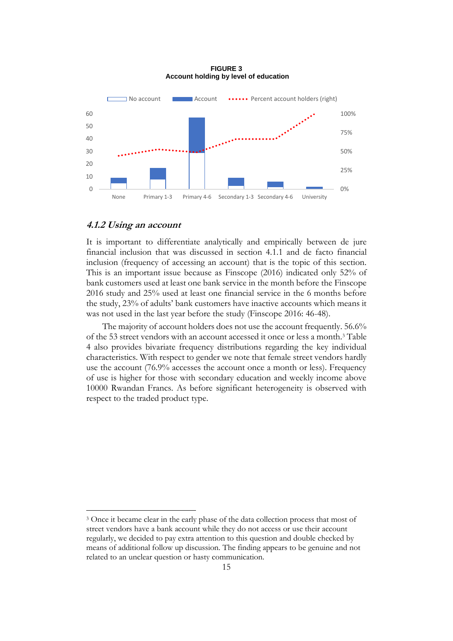**FIGURE 3 Account holding by level of education**



#### <span id="page-14-0"></span>**4.1.2 Using an account**

 $\overline{a}$ 

It is important to differentiate analytically and empirically between de jure financial inclusion that was discussed in section 4.1.1 and de facto financial inclusion (frequency of accessing an account) that is the topic of this section. This is an important issue because as Finscope (2016) indicated only 52% of bank customers used at least one bank service in the month before the Finscope 2016 study and 25% used at least one financial service in the 6 months before the study, 23% of adults' bank customers have inactive accounts which means it was not used in the last year before the study (Finscope 2016: 46-48).

The majority of account holders does not use the account frequently. 56.6% of the 53 street vendors with an account accessed it once or less a month.<sup>3</sup> Table 4 also provides bivariate frequency distributions regarding the key individual characteristics. With respect to gender we note that female street vendors hardly use the account (76.9% accesses the account once a month or less). Frequency of use is higher for those with secondary education and weekly income above 10000 Rwandan Francs. As before significant heterogeneity is observed with respect to the traded product type.

<sup>&</sup>lt;sup>3</sup> Once it became clear in the early phase of the data collection process that most of street vendors have a bank account while they do not access or use their account regularly, we decided to pay extra attention to this question and double checked by means of additional follow up discussion. The finding appears to be genuine and not related to an unclear question or hasty communication.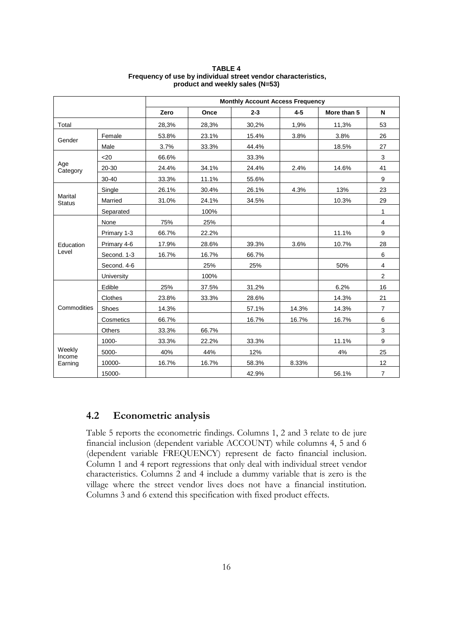|                          |               | <b>Monthly Account Access Frequency</b> |       |         |         |             |                |
|--------------------------|---------------|-----------------------------------------|-------|---------|---------|-------------|----------------|
|                          |               | Zero                                    | Once  | $2 - 3$ | $4 - 5$ | More than 5 | N              |
| Total                    |               | 28,3%                                   | 28,3% | 30,2%   | 1,9%    | 11,3%       | 53             |
| Gender                   | Female        | 53.8%                                   | 23.1% | 15.4%   | 3.8%    | 3.8%        | 26             |
|                          | Male          | 3.7%                                    | 33.3% | 44.4%   |         | 18.5%       | 27             |
|                          | $<$ 20        | 66.6%                                   |       | 33.3%   |         |             | 3              |
| Age<br>Category          | 20-30         | 24.4%                                   | 34.1% | 24.4%   | 2.4%    | 14.6%       | 41             |
|                          | $30 - 40$     | 33.3%                                   | 11.1% | 55.6%   |         |             | 9              |
|                          | Single        | 26.1%                                   | 30.4% | 26.1%   | 4.3%    | 13%         | 23             |
| Marital<br><b>Status</b> | Married       | 31.0%                                   | 24.1% | 34.5%   |         | 10.3%       | 29             |
|                          | Separated     |                                         | 100%  |         |         |             | $\mathbf{1}$   |
|                          | None          | 75%                                     | 25%   |         |         |             | 4              |
|                          | Primary 1-3   | 66.7%                                   | 22.2% |         |         | 11.1%       | 9              |
| Education                | Primary 4-6   | 17.9%                                   | 28.6% | 39.3%   | 3.6%    | 10.7%       | 28             |
| Level                    | Second. 1-3   | 16.7%                                   | 16.7% | 66.7%   |         |             | 6              |
|                          | Second. 4-6   |                                         | 25%   | 25%     |         | 50%         | $\overline{4}$ |
|                          | University    |                                         | 100%  |         |         |             | 2              |
|                          | Edible        | 25%                                     | 37.5% | 31.2%   |         | 6.2%        | 16             |
|                          | Clothes       | 23.8%                                   | 33.3% | 28.6%   |         | 14.3%       | 21             |
| Commodities              | Shoes         | 14.3%                                   |       | 57.1%   | 14.3%   | 14.3%       | $\overline{7}$ |
|                          | Cosmetics     | 66.7%                                   |       | 16.7%   | 16.7%   | 16.7%       | 6              |
|                          | <b>Others</b> | 33.3%                                   | 66.7% |         |         |             | 3              |
|                          | 1000-         | 33.3%                                   | 22.2% | 33.3%   |         | 11.1%       | 9              |
| Weekly                   | 5000-         | 40%                                     | 44%   | 12%     |         | 4%          | 25             |
| Income<br>Earning        | 10000-        | 16.7%                                   | 16.7% | 58.3%   | 8.33%   |             | 12             |
|                          | 15000-        |                                         |       | 42.9%   |         | 56.1%       | $\overline{7}$ |

**TABLE 4 Frequency of use by individual street vendor characteristics, product and weekly sales (N=53)**

# <span id="page-15-0"></span>**4.2 Econometric analysis**

Table 5 reports the econometric findings. Columns 1, 2 and 3 relate to de jure financial inclusion (dependent variable ACCOUNT) while columns 4, 5 and 6 (dependent variable FREQUENCY) represent de facto financial inclusion. Column 1 and 4 report regressions that only deal with individual street vendor characteristics. Columns 2 and 4 include a dummy variable that is zero is the village where the street vendor lives does not have a financial institution. Columns 3 and 6 extend this specification with fixed product effects.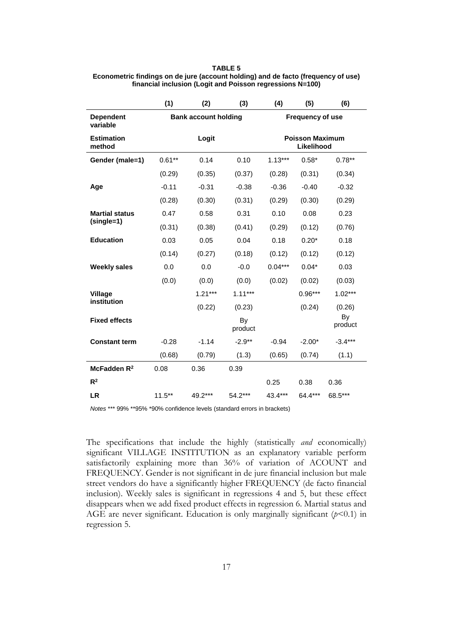**TABLE 5 Econometric findings on de jure (account holding) and de facto (frequency of use) financial inclusion (Logit and Poisson regressions N=100)**

|                              | (1)       | (2)                         | (3)           | (4)              | (5)                                  | (6)           |
|------------------------------|-----------|-----------------------------|---------------|------------------|--------------------------------------|---------------|
| <b>Dependent</b><br>variable |           | <b>Bank account holding</b> |               | Frequency of use |                                      |               |
| <b>Estimation</b><br>method  |           | Logit                       |               |                  | <b>Poisson Maximum</b><br>Likelihood |               |
| Gender (male=1)              | $0.61**$  | 0.14                        | 0.10          | $1.13***$        | $0.58*$                              | $0.78**$      |
|                              | (0.29)    | (0.35)                      | (0.37)        | (0.28)           | (0.31)                               | (0.34)        |
| Age                          | $-0.11$   | $-0.31$                     | $-0.38$       | $-0.36$          | $-0.40$                              | $-0.32$       |
|                              | (0.28)    | (0.30)                      | (0.31)        | (0.29)           | (0.30)                               | (0.29)        |
| <b>Martial status</b>        | 0.47      | 0.58                        | 0.31          | 0.10             | 0.08                                 | 0.23          |
| (single=1)                   | (0.31)    | (0.38)                      | (0.41)        | (0.29)           | (0.12)                               | (0.76)        |
| <b>Education</b>             | 0.03      | 0.05                        | 0.04          | 0.18             | $0.20*$                              | 0.18          |
|                              | (0.14)    | (0.27)                      | (0.18)        | (0.12)           | (0.12)                               | (0.12)        |
| <b>Weekly sales</b>          | 0.0       | 0.0                         | $-0.0$        | $0.04***$        | $0.04*$                              | 0.03          |
|                              | (0.0)     | (0.0)                       | (0.0)         | (0.02)           | (0.02)                               | (0.03)        |
| <b>Village</b>               |           | $1.21***$                   | $1.11***$     |                  | $0.96***$                            | $1.02***$     |
| institution                  |           | (0.22)                      | (0.23)        |                  | (0.24)                               | (0.26)        |
| <b>Fixed effects</b>         |           |                             | By<br>product |                  |                                      | By<br>product |
| <b>Constant term</b>         | $-0.28$   | $-1.14$                     | $-2.9**$      | $-0.94$          | $-2.00*$                             | $-3.4***$     |
|                              | (0.68)    | (0.79)                      | (1.3)         | (0.65)           | (0.74)                               | (1.1)         |
| McFadden R <sup>2</sup>      | 0.08      | 0.36                        | 0.39          |                  |                                      |               |
| $R^2$                        |           |                             |               | 0.25             | 0.38                                 | 0.36          |
| <b>LR</b>                    | $11.5***$ | 49.2***                     | 54.2***       | 43.4***          | 64.4***                              | 68.5***       |

*Notes* \*\*\* 99% \*\*95% \*90% confidence levels (standard errors in brackets)

The specifications that include the highly (statistically *and* economically) significant VILLAGE INSTITUTION as an explanatory variable perform satisfactorily explaining more than 36% of variation of ACOUNT and FREQUENCY. Gender is not significant in de jure financial inclusion but male street vendors do have a significantly higher FREQUENCY (de facto financial inclusion). Weekly sales is significant in regressions 4 and 5, but these effect disappears when we add fixed product effects in regression 6. Martial status and AGE are never significant. Education is only marginally significant  $(p<0.1)$  in regression 5.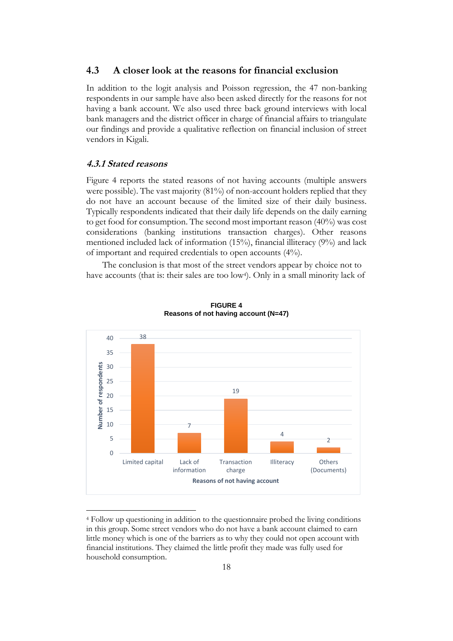#### <span id="page-17-0"></span>**4.3 A closer look at the reasons for financial exclusion**

In addition to the logit analysis and Poisson regression, the 47 non-banking respondents in our sample have also been asked directly for the reasons for not having a bank account. We also used three back ground interviews with local bank managers and the district officer in charge of financial affairs to triangulate our findings and provide a qualitative reflection on financial inclusion of street vendors in Kigali.

#### <span id="page-17-1"></span>**4.3.1 Stated reasons**

 $\overline{a}$ 

Figure 4 reports the stated reasons of not having accounts (multiple answers were possible). The vast majority (81%) of non-account holders replied that they do not have an account because of the limited size of their daily business. Typically respondents indicated that their daily life depends on the daily earning to get food for consumption. The second most important reason (40%) was cost considerations (banking institutions transaction charges). Other reasons mentioned included lack of information  $(15\%)$ , financial illiteracy  $(9\%)$  and lack of important and required credentials to open accounts (4%).

The conclusion is that most of the street vendors appear by choice not to have accounts (that is: their sales are too low<sup>4</sup>). Only in a small minority lack of



**FIGURE 4 Reasons of not having account (N=47)**

<sup>4</sup> Follow up questioning in addition to the questionnaire probed the living conditions in this group. Some street vendors who do not have a bank account claimed to earn little money which is one of the barriers as to why they could not open account with financial institutions. They claimed the little profit they made was fully used for household consumption.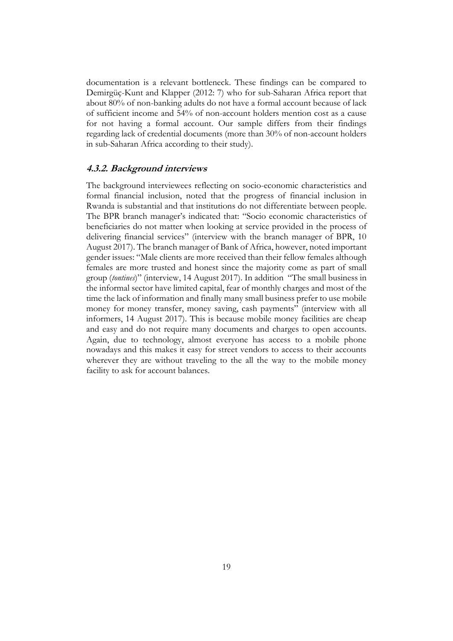<span id="page-18-0"></span>documentation is a relevant bottleneck. These findings can be compared to Demirgüç-Kunt and Klapper (2012: 7) who for sub-Saharan Africa report that about 80% of non-banking adults do not have a formal account because of lack of sufficient income and 54% of non-account holders mention cost as a cause for not having a formal account. Our sample differs from their findings regarding lack of credential documents (more than 30% of non-account holders in sub-Saharan Africa according to their study).

#### **4.3.2. Background interviews**

<span id="page-18-1"></span>The background interviewees reflecting on socio-economic characteristics and formal financial inclusion, noted that the progress of financial inclusion in Rwanda is substantial and that institutions do not differentiate between people. The BPR branch manager's indicated that: "Socio economic characteristics of beneficiaries do not matter when looking at service provided in the process of delivering financial services" (interview with the branch manager of BPR, 10 August 2017). The branch manager of Bank of Africa, however, noted important gender issues: "Male clients are more received than their fellow females although females are more trusted and honest since the majority come as part of small group (*tontines*)" (interview, 14 August 2017). In addition "The small business in the informal sector have limited capital, fear of monthly charges and most of the time the lack of information and finally many small business prefer to use mobile money for money transfer, money saving, cash payments" (interview with all informers, 14 August 2017). This is because mobile money facilities are cheap and easy and do not require many documents and charges to open accounts. Again, due to technology, almost everyone has access to a mobile phone nowadays and this makes it easy for street vendors to access to their accounts wherever they are without traveling to the all the way to the mobile money facility to ask for account balances.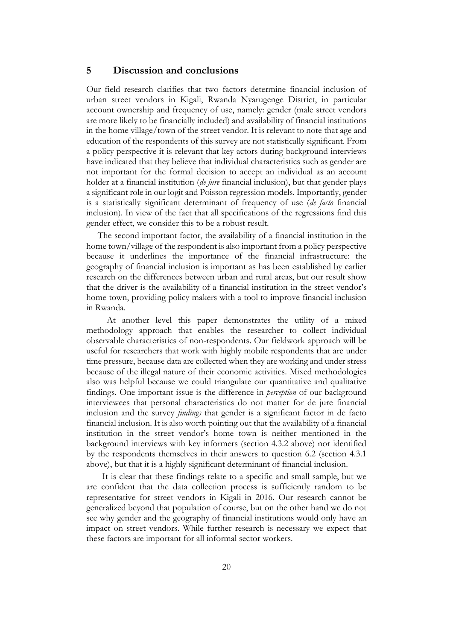#### **5 Discussion and conclusions**

Our field research clarifies that two factors determine financial inclusion of urban street vendors in Kigali, Rwanda Nyarugenge District, in particular account ownership and frequency of use, namely: gender (male street vendors are more likely to be financially included) and availability of financial institutions in the home village/town of the street vendor. It is relevant to note that age and education of the respondents of this survey are not statistically significant. From a policy perspective it is relevant that key actors during background interviews have indicated that they believe that individual characteristics such as gender are not important for the formal decision to accept an individual as an account holder at a financial institution (*de jure* financial inclusion), but that gender plays a significant role in our logit and Poisson regression models. Importantly, gender is a statistically significant determinant of frequency of use (*de facto* financial inclusion). In view of the fact that all specifications of the regressions find this gender effect, we consider this to be a robust result.

 The second important factor, the availability of a financial institution in the home town/village of the respondent is also important from a policy perspective because it underlines the importance of the financial infrastructure: the geography of financial inclusion is important as has been established by earlier research on the differences between urban and rural areas, but our result show that the driver is the availability of a financial institution in the street vendor's home town, providing policy makers with a tool to improve financial inclusion in Rwanda.

 At another level this paper demonstrates the utility of a mixed methodology approach that enables the researcher to collect individual observable characteristics of non-respondents. Our fieldwork approach will be useful for researchers that work with highly mobile respondents that are under time pressure, because data are collected when they are working and under stress because of the illegal nature of their economic activities. Mixed methodologies also was helpful because we could triangulate our quantitative and qualitative findings. One important issue is the difference in *perception* of our background interviewees that personal characteristics do not matter for de jure financial inclusion and the survey *findings* that gender is a significant factor in de facto financial inclusion. It is also worth pointing out that the availability of a financial institution in the street vendor's home town is neither mentioned in the background interviews with key informers (section 4.3.2 above) nor identified by the respondents themselves in their answers to question 6.2 (section 4.3.1 above), but that it is a highly significant determinant of financial inclusion.

 It is clear that these findings relate to a specific and small sample, but we are confident that the data collection process is sufficiently random to be representative for street vendors in Kigali in 2016. Our research cannot be generalized beyond that population of course, but on the other hand we do not see why gender and the geography of financial institutions would only have an impact on street vendors. While further research is necessary we expect that these factors are important for all informal sector workers.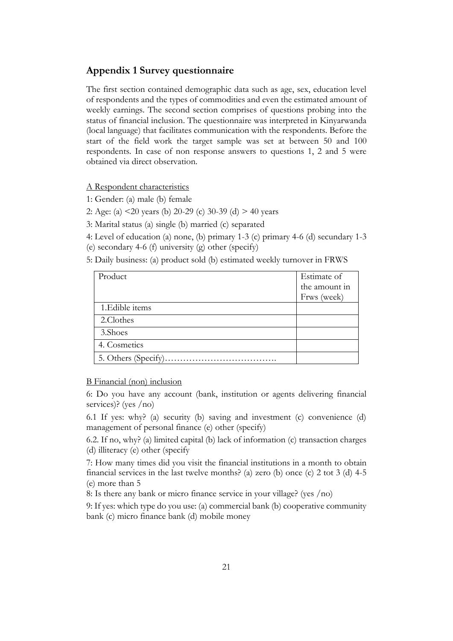## <span id="page-20-0"></span>**Appendix 1 Survey questionnaire**

The first section contained demographic data such as age, sex, education level of respondents and the types of commodities and even the estimated amount of weekly earnings. The second section comprises of questions probing into the status of financial inclusion. The questionnaire was interpreted in Kinyarwanda (local language) that facilitates communication with the respondents. Before the start of the field work the target sample was set at between 50 and 100 respondents. In case of non response answers to questions 1, 2 and 5 were obtained via direct observation.

#### A Respondent characteristics

1: Gender: (a) male (b) female

2: Age: (a) <20 years (b) 20-29 (c) 30-39 (d) > 40 years

3: Marital status (a) single (b) married (c) separated

4: Level of education (a) none, (b) primary 1-3 (c) primary 4-6 (d) secundary 1-3 (e) secondary 4-6 (f) university (g) other (specify)

5: Daily business: (a) product sold (b) estimated weekly turnover in FRWS

| Product             | Estimate of   |  |
|---------------------|---------------|--|
|                     | the amount in |  |
|                     | Frws (week)   |  |
| 1. Edible items     |               |  |
| 2.Clothes           |               |  |
| 3.Shoes             |               |  |
| 4. Cosmetics        |               |  |
| 5. Others (Specify) |               |  |

#### B Financial (non) inclusion

6: Do you have any account (bank, institution or agents delivering financial services)? (yes /no)

6.1 If yes: why? (a) security (b) saving and investment (c) convenience (d) management of personal finance (e) other (specify)

6.2. If no, why? (a) limited capital (b) lack of information (c) transaction charges (d) illiteracy (e) other (specify

7: How many times did you visit the financial institutions in a month to obtain financial services in the last twelve months? (a) zero (b) once (c) 2 tot 3 (d) 4-5 (e) more than 5

8: Is there any bank or micro finance service in your village? (yes /no)

9: If yes: which type do you use: (a) commercial bank (b) cooperative community bank (c) micro finance bank (d) mobile money